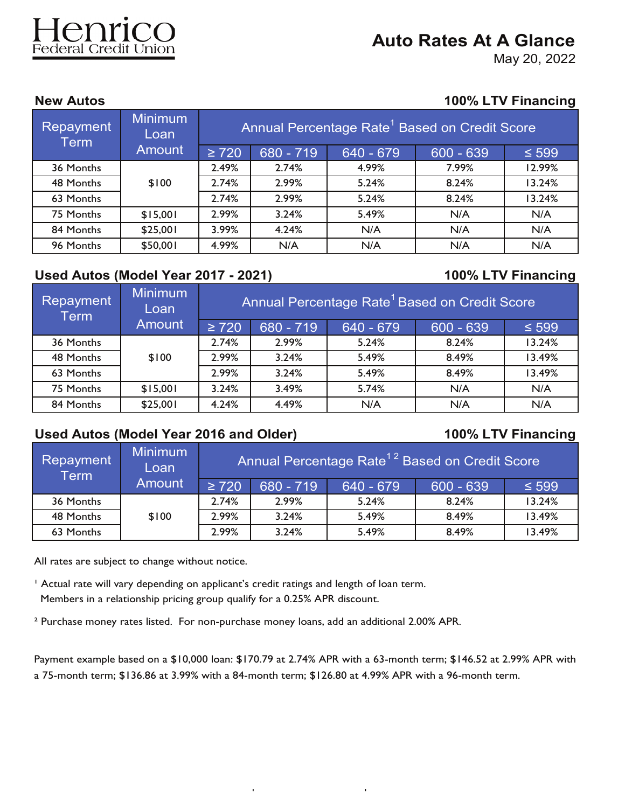# Federal Credit Union

# **Auto Rates At A Glance**

May 20, 2022

### **New Autos 100% LTV Financing**

| Repayment<br><b>Term</b> | <b>Minimum</b><br>Loan |            |           |             | Annual Percentage Rate <sup>1</sup> Based on Credit Score |            |
|--------------------------|------------------------|------------|-----------|-------------|-----------------------------------------------------------|------------|
|                          | <b>Amount</b>          | $\geq 720$ | 680 - 719 | $640 - 679$ | $600 - 639$                                               | $\leq 599$ |
| 36 Months                |                        | 2.49%      | 2.74%     | 4.99%       | 7.99%                                                     | 12.99%     |
| 48 Months                | \$100                  | 2.74%      | 2.99%     | 5.24%       | 8.24%                                                     | 13.24%     |
| 63 Months                |                        | 2.74%      | 2.99%     | 5.24%       | 8.24%                                                     | 13.24%     |
| 75 Months                | \$15,001               | 2.99%      | 3.24%     | 5.49%       | N/A                                                       | N/A        |
| 84 Months                | \$25,001               | 3.99%      | 4.24%     | N/A         | N/A                                                       | N/A        |
| 96 Months                | \$50,001               | 4.99%      | N/A       | N/A         | N/A                                                       | N/A        |

# **Used Autos (Model Year 2017 - 2021) 100% LTV Financing**

| Repayment<br><b>Term</b> | <b>Minimum</b><br>Loan | Annual Percentage Rate <sup>1</sup> Based on Credit Score |           |           |             |            |  |
|--------------------------|------------------------|-----------------------------------------------------------|-----------|-----------|-------------|------------|--|
|                          | <b>Amount</b>          | $\geq 720$                                                | 680 - 719 | 640 - 679 | $600 - 639$ | $\leq 599$ |  |
| 36 Months                |                        | 2.74%                                                     | 2.99%     | 5.24%     | 8.24%       | 13.24%     |  |
| 48 Months                | \$100                  | 2.99%                                                     | 3.24%     | 5.49%     | 8.49%       | 13.49%     |  |
| 63 Months                |                        | 2.99%                                                     | 3.24%     | 5.49%     | 8.49%       | 13.49%     |  |
| 75 Months                | \$15,001               | 3.24%                                                     | 3.49%     | 5.74%     | N/A         | N/A        |  |
| 84 Months                | \$25,001               | 4.24%                                                     | 4.49%     | N/A       | N/A         | N/A        |  |

# **Used Autos (Model Year 2016 and Older) 100% LTV Financing**

| <b>Repayment</b><br>Term | Minimum<br>Loan | Annual Percentage Rate <sup>12</sup> Based on Credit Score |             |           |             |            |
|--------------------------|-----------------|------------------------------------------------------------|-------------|-----------|-------------|------------|
| <b>Amount</b>            |                 | $\geq 720$                                                 | $680 - 719$ | 640 - 679 | $600 - 639$ | $\leq 599$ |
| 36 Months                |                 | 2.74%                                                      | 2.99%       | 5.24%     | 8.24%       | 13.24%     |
| 48 Months                | \$100           | 2.99%                                                      | 3.24%       | 5.49%     | 8.49%       | 13.49%     |
| 63 Months                |                 | 2.99%                                                      | 3.24%       | 5.49%     | 8.49%       | 13.49%     |

All rates are subject to change without notice.

<sup>1</sup> Actual rate will vary depending on applicant's credit ratings and length of loan term.

Members in a relationship pricing group qualify for a 0.25% APR discount.

² Purchase money rates listed. For non-purchase money loans, add an additional 2.00% APR.

Payment example based on a \$10,000 loan: \$170.79 at 2.74% APR with a 63-month term; \$146.52 at 2.99% APR with a 75-month term; \$136.86 at 3.99% with a 84-month term; \$126.80 at 4.99% APR with a 96-month term.

 $9401$   $\mu$   $\sim$   $1000$   $\mu$   $\sim$   $1000$   $\mu$   $\sim$   $1000$   $\mu$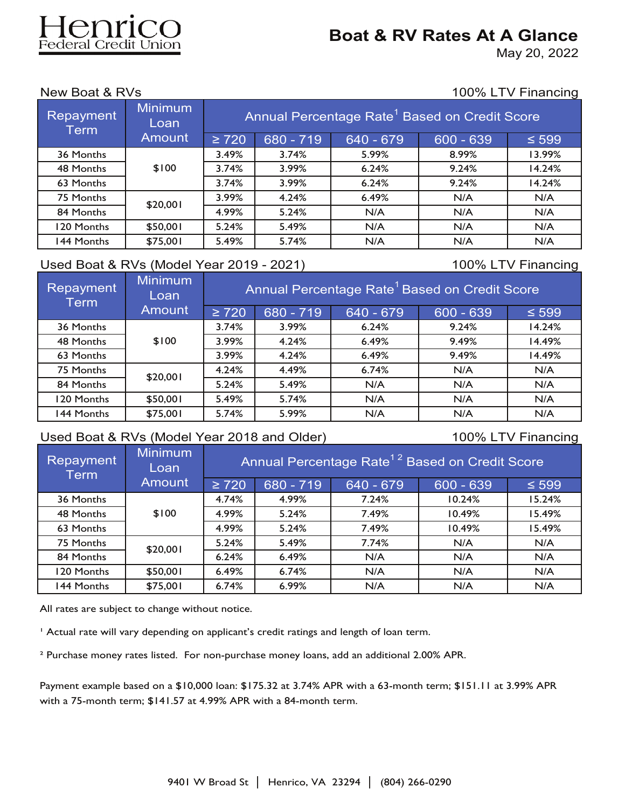# enrico deral Credit Union

# **Boat & RV Rates At A Glance**

May 20, 2022

New Boat & RVs 100% LTV Financing

| <b>Repayment</b><br><b>Term</b> | <b>Minimum</b><br>Loan | Annual Percentage Rate <sup>1</sup> Based on Credit Score |           |           |             |            |  |
|---------------------------------|------------------------|-----------------------------------------------------------|-----------|-----------|-------------|------------|--|
|                                 | <b>Amount</b>          | $\geq 720$                                                | 680 - 719 | 640 - 679 | $600 - 639$ | $\leq 599$ |  |
| 36 Months                       |                        | 3.49%                                                     | 3.74%     | 5.99%     | 8.99%       | 13.99%     |  |
| 48 Months                       | \$100                  | 3.74%                                                     | 3.99%     | 6.24%     | 9.24%       | 14.24%     |  |
| 63 Months                       |                        | 3.74%                                                     | 3.99%     | 6.24%     | 9.24%       | 14.24%     |  |
| 75 Months                       | \$20,001               | 3.99%                                                     | 4.24%     | 6.49%     | N/A         | N/A        |  |
| 84 Months                       |                        | 4.99%                                                     | 5.24%     | N/A       | N/A         | N/A        |  |
| 120 Months                      | \$50,001               | 5.24%                                                     | 5.49%     | N/A       | N/A         | N/A        |  |
| 144 Months                      | \$75,001               | 5.49%                                                     | 5.74%     | N/A       | N/A         | N/A        |  |

## Used Boat & RVs (Model Year 2019 - 2021) 100% LTV Financing

| Repayment<br>Term, | <b>Minimum</b><br>Loan | Annual Percentage Rate <sup>1</sup> Based on Credit Score |           |           |             |            |  |
|--------------------|------------------------|-----------------------------------------------------------|-----------|-----------|-------------|------------|--|
|                    | <b>Amount</b>          | $\geq 720$                                                | 680 - 719 | 640 - 679 | $600 - 639$ | $\leq 599$ |  |
| 36 Months          |                        | 3.74%                                                     | 3.99%     | 6.24%     | 9.24%       | 14.24%     |  |
| 48 Months          | \$100                  | 3.99%                                                     | 4.24%     | 6.49%     | 9.49%       | 14.49%     |  |
| 63 Months          |                        | 3.99%                                                     | 4.24%     | 6.49%     | 9.49%       | 14.49%     |  |
| 75 Months          | \$20,001               | 4.24%                                                     | 4.49%     | 6.74%     | N/A         | N/A        |  |
| 84 Months          |                        | 5.24%                                                     | 5.49%     | N/A       | N/A         | N/A        |  |
| 120 Months         | \$50,001               | 5.49%                                                     | 5.74%     | N/A       | N/A         | N/A        |  |
| 144 Months         | \$75,001               | 5.74%                                                     | 5.99%     | N/A       | N/A         | N/A        |  |

## Used Boat & RVs (Model Year 2018 and Older) 100% LTV Financing

| Repayment<br><b>Term</b> | Minimum<br>Loan | Annual Percentage Rate <sup>12</sup> Based on Credit Score |           |           |             |            |  |
|--------------------------|-----------------|------------------------------------------------------------|-----------|-----------|-------------|------------|--|
|                          | <b>Amount</b>   | $\geq 720$                                                 | 680 - 719 | 640 - 679 | $600 - 639$ | $\leq 599$ |  |
| 36 Months                |                 | 4.74%                                                      | 4.99%     | 7.24%     | 10.24%      | 15.24%     |  |
| 48 Months                | \$100           | 4.99%                                                      | 5.24%     | 7.49%     | 10.49%      | 15.49%     |  |
| 63 Months                |                 | 4.99%                                                      | 5.24%     | 7.49%     | 10.49%      | 15.49%     |  |
| 75 Months                | \$20,001        | 5.24%                                                      | 5.49%     | 7.74%     | N/A         | N/A        |  |
| 84 Months                |                 | 6.24%                                                      | 6.49%     | N/A       | N/A         | N/A        |  |
| 120 Months               | \$50,001        | 6.49%                                                      | 6.74%     | N/A       | N/A         | N/A        |  |
| 144 Months               | \$75,001        | 6.74%                                                      | 6.99%     | N/A       | N/A         | N/A        |  |

All rates are subject to change without notice.

' Actual rate will vary depending on applicant's credit ratings and length of loan term.

² Purchase money rates listed. For non-purchase money loans, add an additional 2.00% APR.

Payment example based on a \$10,000 loan: \$175.32 at 3.74% APR with a 63-month term; \$151.11 at 3.99% APR with a 75-month term; \$141.57 at 4.99% APR with a 84-month term.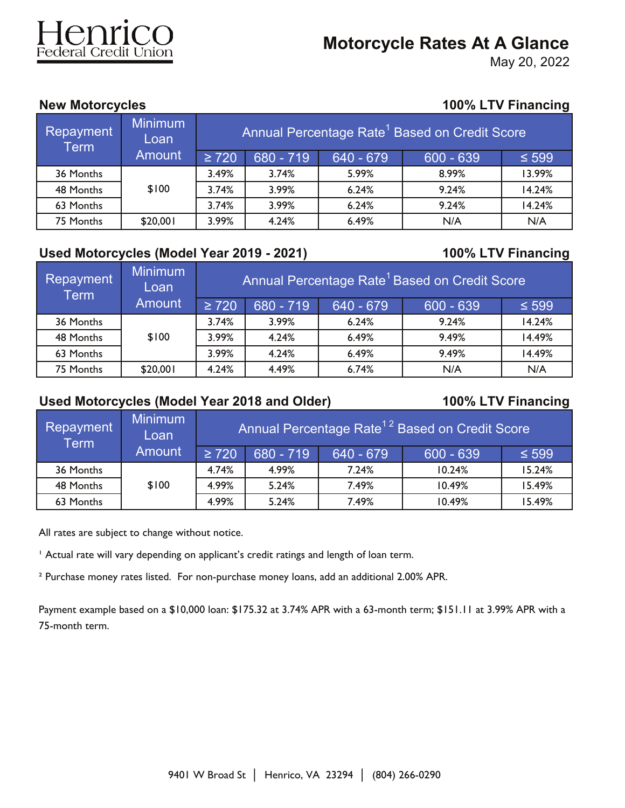# enrico

# **Motorcycle Rates At A Glance**

May 20, 2022

# **New Motorcycles 100% LTV Financing**

| Repayment<br>Term | Minimum<br>Loan | Annual Percentage Rate <sup>1</sup> Based on Cred <u>it Score</u> |           |              |             |            |  |
|-------------------|-----------------|-------------------------------------------------------------------|-----------|--------------|-------------|------------|--|
|                   | <b>Amount</b>   | $\geq 720$                                                        | 680 - 719 | $1640 - 679$ | $600 - 639$ | $\leq 599$ |  |
| 36 Months         |                 | 3.49%                                                             | 3.74%     | 5.99%        | 8.99%       | 13.99%     |  |
| 48 Months         | \$100           | 3.74%                                                             | 3.99%     | 6.24%        | 9.24%       | 14.24%     |  |
| 63 Months         |                 | 3.74%                                                             | 3.99%     | 6.24%        | 9.24%       | 14.24%     |  |
| 75 Months         | \$20,001        | 3.99%                                                             | 4.24%     | 6.49%        | N/A         | N/A        |  |

## **Used Motorcycles (Model Year 2019 - 2021) 100% LTV Financing**

| Repayment<br><b>Term</b> | <b>Minimum</b><br>Loan | Annual Percentage Rate <sup>1</sup> Based on Credit Score |                              |             |             |            |  |  |
|--------------------------|------------------------|-----------------------------------------------------------|------------------------------|-------------|-------------|------------|--|--|
|                          | <b>Amount</b>          | $\geq 720$                                                | 680 - 719                    | $640 - 679$ | $600 - 639$ | $\leq 599$ |  |  |
| 36 Months                |                        | 3.74%                                                     | 3.99%                        | 6.24%       | 9.24%       | 14.24%     |  |  |
| 48 Months                | \$100                  | 3.99%                                                     | 4.24%                        | 6.49%       | 9.49%       | 14.49%     |  |  |
| 63 Months                |                        | 3.99%                                                     | 4.24%                        | 6.49%       | 9.49%       | 14.49%     |  |  |
| 75 Months                | \$20,001               | 4.24%                                                     | 4.49%<br>6.74%<br>N/A<br>N/A |             |             |            |  |  |

# **Used Motorcycles (Model Year 2018 and Older) 100% LTV Financing**

| <b>Repayment</b><br>Term | <b>Minimum</b><br>Loan | Annual Percentage Rate <sup>12</sup> Based on Credit Score |           |           |              |            |  |
|--------------------------|------------------------|------------------------------------------------------------|-----------|-----------|--------------|------------|--|
| <b>Amount</b>            |                        | $\geq 720$                                                 | 680 - 719 | 640 - 679 | $1600 - 639$ | $\leq 599$ |  |
| 36 Months                |                        | 4.74%                                                      | 4.99%     | 7.24%     | 10.24%       | 15.24%     |  |
| 48 Months                | \$100                  | 4.99%                                                      | 5.24%     | 7.49%     | 10.49%       | 15.49%     |  |
| 63 Months                |                        | 4.99%                                                      | 5.24%     | 7.49%     | 10.49%       | 15.49%     |  |

All rates are subject to change without notice.

<sup>1</sup> Actual rate will vary depending on applicant's credit ratings and length of loan term.

² Purchase money rates listed. For non-purchase money loans, add an additional 2.00% APR.

Payment example based on a \$10,000 loan: \$175.32 at 3.74% APR with a 63-month term; \$151.11 at 3.99% APR with a 75-month term.